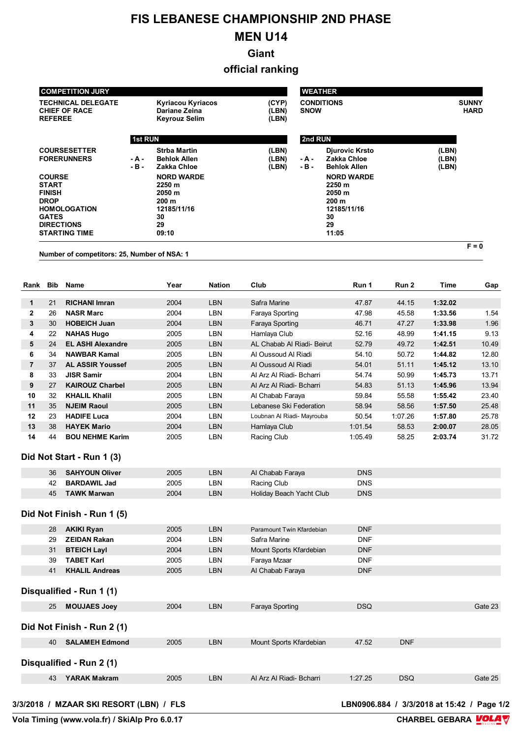## **FIS LEBANESE CHAMPIONSHIP 2ND PHASE**

## **MEN U14**

**Giant**

**official ranking**

|                                                                                                                                                                                                                  |                                                                     | <b>COMPETITION JURY</b>                                                                                                                         |                                                                   |                         |                                                                                                                                                                     | <b>WEATHER</b>                   |  |                         |                             |         |         |
|------------------------------------------------------------------------------------------------------------------------------------------------------------------------------------------------------------------|---------------------------------------------------------------------|-------------------------------------------------------------------------------------------------------------------------------------------------|-------------------------------------------------------------------|-------------------------|---------------------------------------------------------------------------------------------------------------------------------------------------------------------|----------------------------------|--|-------------------------|-----------------------------|---------|---------|
|                                                                                                                                                                                                                  | <b>TECHNICAL DELEGATE</b><br><b>CHIEF OF RACE</b><br><b>REFEREE</b> |                                                                                                                                                 | <b>Kyriacou Kyriacos</b><br>Dariane Zeina<br><b>Keyrouz Selim</b> |                         | (CYP)<br>(LBN)<br>(LBN)                                                                                                                                             | <b>CONDITIONS</b><br><b>SNOW</b> |  |                         | <b>SUNNY</b><br><b>HARD</b> |         |         |
|                                                                                                                                                                                                                  |                                                                     |                                                                                                                                                 | 1st RUN                                                           |                         |                                                                                                                                                                     | 2nd RUN                          |  |                         |                             |         |         |
| <b>COURSESETTER</b><br><b>FORERUNNERS</b><br>- A -<br>- B -<br><b>COURSE</b><br><b>START</b><br><b>FINISH</b><br><b>DROP</b><br><b>HOMOLOGATION</b><br><b>GATES</b><br><b>DIRECTIONS</b><br><b>STARTING TIME</b> |                                                                     | <b>Strba Martin</b><br><b>Behlok Allen</b><br>Zakka Chloe<br><b>NORD WARDE</b><br>2250 m<br>2050 m<br>200 m<br>12185/11/16<br>30<br>29<br>09:10 |                                                                   | (LBN)<br>(LBN)<br>(LBN) | <b>Diurovic Krsto</b><br>Zakka Chloe<br>- A -<br>- B -<br><b>Behlok Allen</b><br><b>NORD WARDE</b><br>2250 m<br>2050 m<br>200 m<br>12185/11/16<br>30<br>29<br>11:05 |                                  |  | (LBN)<br>(LBN)<br>(LBN) |                             |         |         |
|                                                                                                                                                                                                                  |                                                                     | Number of competitors: 25, Number of NSA: 1                                                                                                     |                                                                   |                         |                                                                                                                                                                     |                                  |  |                         |                             |         | $F = 0$ |
| Rank                                                                                                                                                                                                             | Bib                                                                 | <b>Name</b>                                                                                                                                     |                                                                   | Year                    | <b>Nation</b>                                                                                                                                                       | Club                             |  | Run 1                   | Run <sub>2</sub>            | Time    | Gap     |
| 1                                                                                                                                                                                                                | 21                                                                  | <b>RICHANI Imran</b>                                                                                                                            |                                                                   | 2004                    | <b>LBN</b>                                                                                                                                                          | Safra Marine                     |  | 47.87                   | 44.15                       | 1:32.02 |         |
| $\mathbf{2}$                                                                                                                                                                                                     | 26                                                                  | <b>NASR Marc</b>                                                                                                                                |                                                                   | 2004                    | LBN                                                                                                                                                                 | Faraya Sporting                  |  | 47.98                   | 45.58                       | 1:33.56 | 1.54    |
| 3                                                                                                                                                                                                                | 30                                                                  | <b>HOBEICH Juan</b>                                                                                                                             |                                                                   | 2004                    | <b>LBN</b>                                                                                                                                                          | Faraya Sporting                  |  | 46.71                   | 47.27                       | 1:33.98 | 1.96    |
| 4                                                                                                                                                                                                                | 22                                                                  | <b>NAHAS Hugo</b>                                                                                                                               |                                                                   | 2005                    | LBN                                                                                                                                                                 | Hamlaya Club                     |  | 52.16                   | 48.99                       | 1:41.15 | 9.13    |
| 5                                                                                                                                                                                                                | 24                                                                  | <b>EL ASHI Alexandre</b>                                                                                                                        |                                                                   | 2005                    | <b>LBN</b>                                                                                                                                                          | AL Chabab Al Riadi- Beirut       |  | 52.79                   | 49.72                       | 1:42.51 | 10.49   |
| 6                                                                                                                                                                                                                | 34                                                                  | <b>NAWBAR Kamal</b>                                                                                                                             |                                                                   | 2005                    | LBN                                                                                                                                                                 | Al Oussoud Al Riadi              |  | 54.10                   | 50.72                       | 1:44.82 | 12.80   |
| $\overline{7}$                                                                                                                                                                                                   | 37                                                                  | <b>AL ASSIR Youssef</b>                                                                                                                         |                                                                   | 2005                    | <b>LBN</b>                                                                                                                                                          | Al Oussoud Al Riadi              |  | 54.01                   | 51.11                       | 1:45.12 | 13.10   |
| 8                                                                                                                                                                                                                | 33                                                                  | <b>JISR Samir</b>                                                                                                                               |                                                                   | 2004                    | <b>LBN</b>                                                                                                                                                          | Al Arz Al Riadi- Bcharri         |  | 54.74                   | 50.99                       | 1:45.73 | 13.71   |
| 9                                                                                                                                                                                                                | 27                                                                  | <b>KAIROUZ Charbel</b>                                                                                                                          |                                                                   | 2005                    | <b>LBN</b>                                                                                                                                                          | Al Arz Al Riadi- Bcharri         |  | 54.83                   | 51.13                       | 1:45.96 | 13.94   |
| 10                                                                                                                                                                                                               | 32                                                                  | <b>KHALIL Khalil</b>                                                                                                                            |                                                                   | 2005                    | LBN                                                                                                                                                                 | Al Chabab Faraya                 |  | 59.84                   | 55.58                       | 1:55.42 | 23.40   |
| 11                                                                                                                                                                                                               | 35                                                                  | <b>NJEIM Raoul</b>                                                                                                                              |                                                                   | 2005                    | <b>LBN</b>                                                                                                                                                          | Lebanese Ski Federation          |  | 58.94                   | 58.56                       | 1:57.50 | 25.48   |
| 12                                                                                                                                                                                                               | 23                                                                  | <b>HADIFE Luca</b>                                                                                                                              |                                                                   | 2004                    | LBN                                                                                                                                                                 | Loubnan Al Riadi- Mayrouba       |  | 50.54                   | 1:07.26                     | 1:57.80 | 25.78   |
| 13                                                                                                                                                                                                               | 38                                                                  | <b>HAYEK Mario</b>                                                                                                                              |                                                                   | 2004                    | <b>LBN</b>                                                                                                                                                          | Hamlaya Club                     |  | 1:01.54                 | 58.53                       | 2:00.07 | 28.05   |
| 14                                                                                                                                                                                                               | 44                                                                  | <b>BOU NEHME Karim</b><br>Did Not Start - Run 1 (3)                                                                                             |                                                                   | 2005                    | LBN                                                                                                                                                                 | Racing Club                      |  | 1:05.49                 | 58.25                       | 2:03.74 | 31.72   |
|                                                                                                                                                                                                                  | 36                                                                  | <b>SAHYOUN Oliver</b>                                                                                                                           |                                                                   | 2005                    | LBN                                                                                                                                                                 | Al Chabab Faraya                 |  | <b>DNS</b>              |                             |         |         |
|                                                                                                                                                                                                                  | 42                                                                  | <b>BARDAWIL Jad</b>                                                                                                                             |                                                                   | 2005                    | LBN                                                                                                                                                                 | Racing Club                      |  | <b>DNS</b>              |                             |         |         |
|                                                                                                                                                                                                                  | 45                                                                  | <b>TAWK Marwan</b>                                                                                                                              |                                                                   | 2004                    | LBN                                                                                                                                                                 | Holiday Beach Yacht Club         |  | <b>DNS</b>              |                             |         |         |
|                                                                                                                                                                                                                  |                                                                     | Did Not Finish - Run 1 (5)                                                                                                                      |                                                                   |                         |                                                                                                                                                                     |                                  |  |                         |                             |         |         |
|                                                                                                                                                                                                                  | 28                                                                  | <b>AKIKI Ryan</b>                                                                                                                               |                                                                   | 2005                    | <b>LBN</b>                                                                                                                                                          | Paramount Twin Kfardebian        |  | <b>DNF</b>              |                             |         |         |
|                                                                                                                                                                                                                  | 29                                                                  | <b>ZEIDAN Rakan</b>                                                                                                                             |                                                                   | 2004                    | LBN                                                                                                                                                                 | Safra Marine                     |  | <b>DNF</b>              |                             |         |         |
|                                                                                                                                                                                                                  | 31                                                                  | <b>BTEICH Layl</b>                                                                                                                              |                                                                   | 2004                    | LBN                                                                                                                                                                 | Mount Sports Kfardebian          |  | <b>DNF</b>              |                             |         |         |
|                                                                                                                                                                                                                  | 39                                                                  | <b>TABET Karl</b>                                                                                                                               |                                                                   | 2005                    | LBN                                                                                                                                                                 | Faraya Mzaar                     |  | <b>DNF</b>              |                             |         |         |
|                                                                                                                                                                                                                  | 41                                                                  | <b>KHALIL Andreas</b>                                                                                                                           |                                                                   | 2005                    | LBN                                                                                                                                                                 | Al Chabab Faraya                 |  | <b>DNF</b>              |                             |         |         |

**Disqualified - Run 1 (1)**

| 25<br><b>MOUJAES Joey</b>   | 2004 | <b>LBN</b> | Faraya Sporting          | <b>DSQ</b> |            | Gate 23 |  |  |  |  |  |  |
|-----------------------------|------|------------|--------------------------|------------|------------|---------|--|--|--|--|--|--|
| Did Not Finish - Run 2 (1)  |      |            |                          |            |            |         |  |  |  |  |  |  |
| <b>SALAMEH Edmond</b><br>40 | 2005 | <b>LBN</b> | Mount Sports Kfardebian  | 47.52      | <b>DNF</b> |         |  |  |  |  |  |  |
| Disqualified - Run 2 (1)    |      |            |                          |            |            |         |  |  |  |  |  |  |
| 43<br><b>YARAK Makram</b>   | 2005 | LBN        | Al Arz Al Riadi- Bcharri | 1:27.25    | <b>DSQ</b> | Gate 25 |  |  |  |  |  |  |

## **3/3/2018 / MZAAR SKI RESORT (LBN) / FLS**

LBN0906.884 / 3/3/2018 at 15:42 / Page 1/2<br>CHARBEL GEBARA **VOLA**